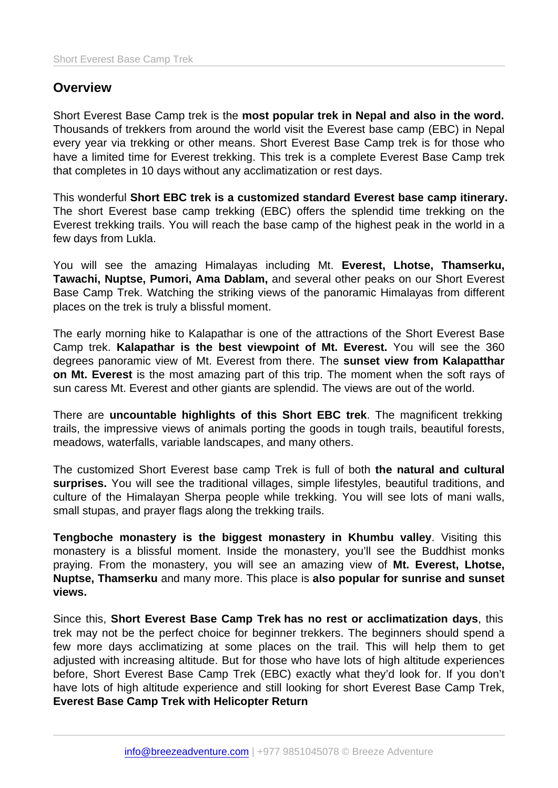# **Overview**

Short Everest Base Camp trek is the most popular trek in Nepal and also in the word. Thousands of trekkers from around the world visit the Everest base camp (EBC) in Nepal every year via trekking or other means. Short Everest Base Camp trek is for those who have a limited time for Everest trekking. This trek is a complete Everest Base Camp trek that completes in 10 days without any acclimatization or rest days.

This wonderful Short EBC trek is a customized standard Everest base camp itinerary. The short Everest base camp trekking (EBC) offers the splendid time trekking on the Everest trekking trails. You will reach the base camp of the highest peak in the world in a few days from Lukla.

You will see the amazing Himalayas including Mt. Everest, Lhotse, Thamserku, Tawachi, Nuptse, Pumori, Ama Dablam, and several other peaks on our Short Everest Base Camp Trek. Watching the striking views of the panoramic Himalayas from different places on the trek is truly a blissful moment.

The early morning hike to Kalapathar is one of the attractions of the Short Everest Base Camp trek. Kalapathar is the best viewpoint of Mt. Everest. You will see the 360 degrees panoramic view of Mt. Everest from there. The sunset view from Kalapatthar on Mt. Everest is the most amazing part of this trip. The moment when the soft rays of sun caress Mt. Everest and other giants are splendid. The views are out of the world.

There are uncountable highlights of this Short EBC trek . The magnificent trekking trails, the impressive views of animals porting the goods in tough trails, beautiful forests, meadows, waterfalls, variable landscapes, and many others.

The customized Short Everest base camp Trek is full of both the natural and cultural surprises. You will see the traditional villages, simple lifestyles, beautiful traditions, and culture of the Himalayan Sherpa people while trekking. You will see lots of mani walls, small stupas, and prayer flags along the trekking trails.

Tengboche monastery is the biggest monastery in Khumbu valley . Visiting this monastery is a blissful moment. Inside the monastery, you'll see the Buddhist monks praying. From the monastery, you will see an amazing view of Mt. Everest, Lhotse, Nuptse, Thamserku and many more. This place is also popular for sunrise and sunset views.

Since this, Short Everest Base Camp Trek has no rest or acclimatization days , this trek may not be the perfect choice for beginner trekkers. The beginners should spend a few more days acclimatizing at some places on the trail. This will help them to get adjusted with increasing altitude. But for those who have lots of high altitude experiences before, Short Everest Base Camp Trek (EBC) exactly what they'd look for. If you don't have lots of high altitude experience and still looking for short Everest Base Camp Trek, Everest Base Camp Trek with Helicopter Return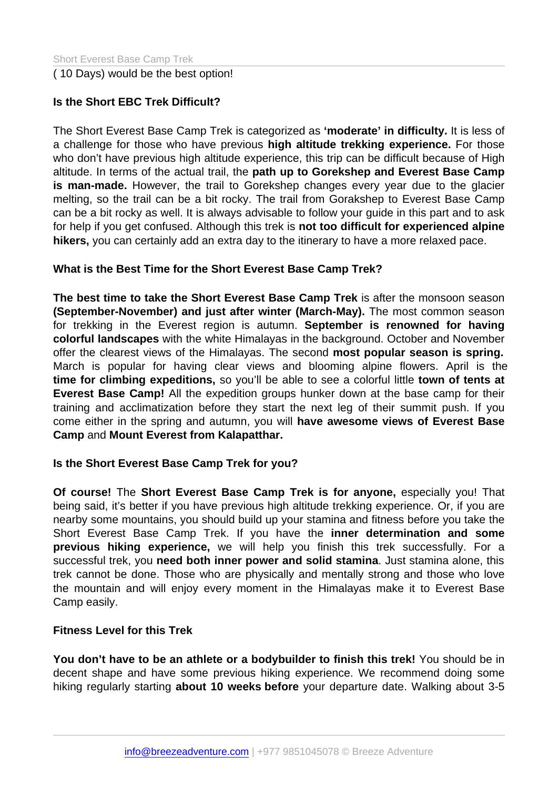( 10 Days) would be the best option!

Is the Short EBC Trek Difficult?

The Short Everest Base Camp Trek is categorized as 'moderate' in difficulty. It is less of a challenge for those who have previous high altitude trekking experience. For those who don't have previous high altitude experience, this trip can be difficult because of High altitude. In terms of the actual trail, the path up to Gorekshep and Everest Base Camp is man-made. However, the trail to Gorekshep changes every year due to the glacier melting, so the trail can be a bit rocky. The trail from Gorakshep to Everest Base Camp can be a bit rocky as well. It is always advisable to follow your guide in this part and to ask for help if you get confused. Although this trek is not too difficult for experienced alpine hikers, you can certainly add an extra day to the itinerary to have a more relaxed pace.

What is the Best Time for the Short Everest Base Camp Trek?

The best time to take the Short Everest Base Camp Trek is after the monsoon season (September-November) and just after winter (March-May). The most common season for trekking in the Everest region is autumn. September is renowned for having colorful landscapes with the white Himalayas in the background. October and November offer the clearest views of the Himalayas. The second most popular season is spring. March is popular for having clear views and blooming alpine flowers. April is the time for climbing expeditions, so you'll be able to see a colorful little town of tents at Everest Base Camp! All the expedition groups hunker down at the base camp for their training and acclimatization before they start the next leg of their summit push. If you come either in the spring and autumn, you will have awesome views of Everest Base Camp and Mount Everest from Kalapatthar.

Is the Short Everest Base Camp Trek for you?

Of course! The Short Everest Base Camp Trek is for anyone, especially you! That being said, it's better if you have previous high altitude trekking experience. Or, if you are nearby some mountains, you should build up your stamina and fitness before you take the Short Everest Base Camp Trek. If you have the inner determination and some previous hiking experience, we will help you finish this trek successfully. For a successful trek, you need both inner power and solid stamina . Just stamina alone, this trek cannot be done. Those who are physically and mentally strong and those who love the mountain and will enjoy every moment in the Himalayas make it to Everest Base Camp easily.

Fitness Level for this Trek

You don't have to be an athlete or a bodybuilder to finish this trek! You should be in decent shape and have some previous hiking experience. We recommend doing some hiking regularly starting about 10 weeks before your departure date. Walking about 3-5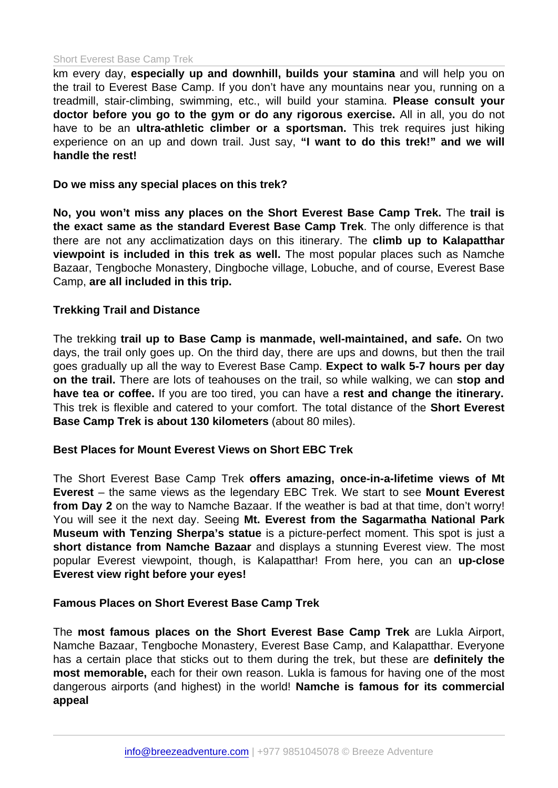#### Short Everest Base Camp Trek

km every day, especially up and downhill, builds your stamina and will help you on the trail to Everest Base Camp. If you don't have any mountains near you, running on a treadmill, stair-climbing, swimming, etc., will build your stamina. Please consult your doctor before you go to the gym or do any rigorous exercise. All in all, you do not have to be an ultra-athletic climber or a sportsman. This trek requires just hiking experience on an up and down trail. Just say, "I want to do this trek!" and we will handle the rest!

Do we miss any special places on this trek?

No, you won't miss any places on the Short Everest Base Camp Trek. The trail is the exact same as the standard Everest Base Camp Trek . The only difference is that there are not any acclimatization days on this itinerary. The climb up to Kalapatthar viewpoint is included in this trek as well. The most popular places such as Namche Bazaar, Tengboche Monastery, Dingboche village, Lobuche, and of course, Everest Base Camp, are all included in this trip.

### Trekking Trail and Distance

The trekking trail up to Base Camp is manmade, well-maintained, and safe. On two days, the trail only goes up. On the third day, there are ups and downs, but then the trail goes gradually up all the way to Everest Base Camp. Expect to walk 5-7 hours per day on the trail. There are lots of teahouses on the trail, so while walking, we can stop and have tea or coffee. If you are too tired, you can have a rest and change the itinerary. This trek is flexible and catered to your comfort. The total distance of the Short Everest Base Camp Trek is about 130 kilometers (about 80 miles).

## Best Places for Mount Everest Views on Short EBC Trek

The Short Everest Base Camp Trek offers amazing, once-in-a-lifetime views of Mt Everest – the same views as the legendary EBC Trek. We start to see Mount Everest from Day 2 on the way to Namche Bazaar. If the weather is bad at that time, don't worry! You will see it the next day. Seeing Mt. Everest from the Sagarmatha National Park Museum with Tenzing Sherpa's statue is a picture-perfect moment. This spot is just a short distance from Namche Bazaar and displays a stunning Everest view. The most popular Everest viewpoint, though, is Kalapatthar! From here, you can an up-close Everest view right before your eyes!

Famous Places on Short Everest Base Camp Trek

The most famous places on the Short Everest Base Camp Trek are Lukla Airport, Namche Bazaar, Tengboche Monastery, Everest Base Camp, and Kalapatthar. Everyone has a certain place that sticks out to them during the trek, but these are definitely the most memorable, each for their own reason. Lukla is famous for having one of the most dangerous airports (and highest) in the world! Namche is famous for its commercial appeal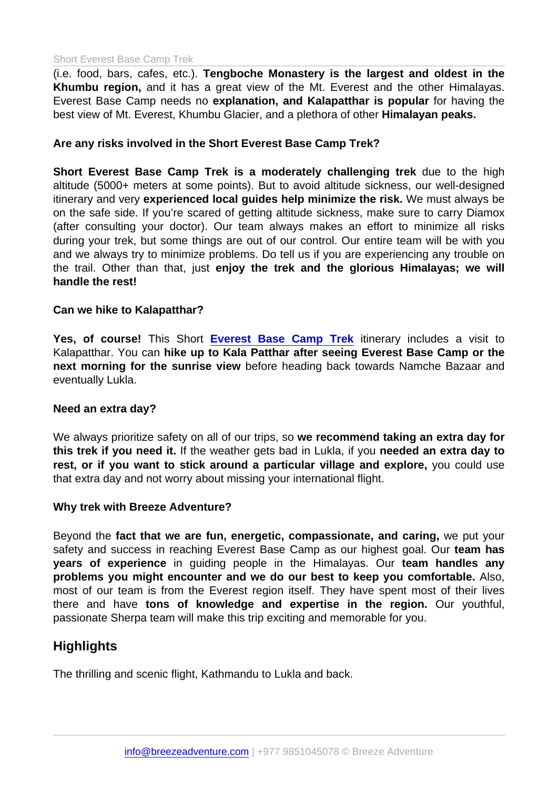#### Short Everest Base Camp Trek

(i.e. food, bars, cafes, etc.). Tengboche Monastery is the largest and oldest in the Khumbu region, and it has a great view of the Mt. Everest and the other Himalayas. Everest Base Camp needs no explanation, and Kalapatthar is popular for having the best view of Mt. Everest, Khumbu Glacier, and a plethora of other Himalayan peaks.

Are any risks involved in the Short Everest Base Camp Trek?

Short Everest Base Camp Trek is a moderately challenging trek due to the high altitude (5000+ meters at some points). But to avoid altitude sickness, our well-designed itinerary and very experienced local guides help minimize the risk. We must always be on the safe side. If you're scared of getting altitude sickness, make sure to carry Diamox (after consulting your doctor). Our team always makes an effort to minimize all risks during your trek, but some things are out of our control. Our entire team will be with you and we always try to minimize problems. Do tell us if you are experiencing any trouble on the trail. Other than that, just enjoy the trek and the glorious Himalayas; we will handle the rest!

Can we hike to Kalapatthar?

Yes, of course! This Short [Everest Base Camp Trek](https://www.breezeadventure.com/everest-base-camp-trek/) itinerary includes a visit to Kalapatthar. You can hike up to Kala Patthar after seeing Everest Base Camp or the next morning for the sunrise view before heading back towards Namche Bazaar and eventually Lukla.

Need an extra day?

We always prioritize safety on all of our trips, so we recommend taking an extra day for this trek if you need it. If the weather gets bad in Lukla, if you needed an extra day to rest, or if you want to stick around a particular village and explore, you could use that extra day and not worry about missing your international flight.

Why trek with Breeze Adventure?

Beyond the fact that we are fun, energetic, compassionate, and caring, we put your safety and success in reaching Everest Base Camp as our highest goal. Our team has years of experience in guiding people in the Himalayas. Our team handles any problems you might encounter and we do our best to keep you comfortable. Also, most of our team is from the Everest region itself. They have spent most of their lives there and have tons of knowledge and expertise in the region. Our youthful, passionate Sherpa team will make this trip exciting and memorable for you.

## **Highlights**

The thrilling and scenic flight, Kathmandu to Lukla and back.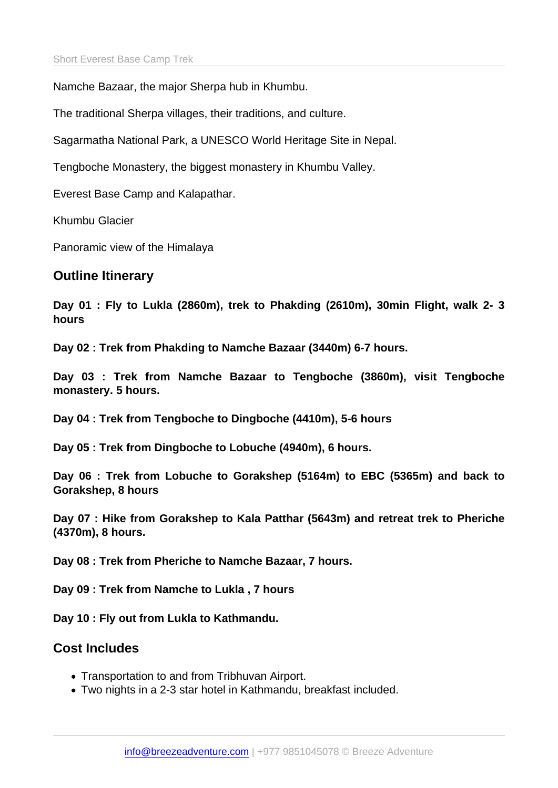Namche Bazaar, the major Sherpa hub in Khumbu.

The traditional Sherpa villages, their traditions, and culture.

Sagarmatha National Park, a UNESCO World Heritage Site in Nepal.

Tengboche Monastery, the biggest monastery in Khumbu Valley.

Everest Base Camp and Kalapathar.

Khumbu Glacier

Panoramic view of the Himalaya

Outline Itinerary

Day 01 : Fly to Lukla (2860m), trek to Phakding (2610m), 30min Flight, walk 2- 3 hours

Day 02 : Trek from Phakding to Namche Bazaar (3440m) 6-7 hours.

Day 03 : Trek from Namche Bazaar to Tengboche (3860m), visit Tengboche monastery. 5 hours.

Day 04 : Trek from Tengboche to Dingboche (4410m), 5-6 hours

Day 05 : Trek from Dingboche to Lobuche (4940m), 6 hours.

Day 06 : Trek from Lobuche to Gorakshep (5164m) to EBC (5365m) and back to Gorakshep, 8 hours

Day 07 : Hike from Gorakshep to Kala Patthar (5643m) and retreat trek to Pheriche (4370m), 8 hours.

Day 08 : Trek from Pheriche to Namche Bazaar, 7 hours.

Day 09 : Trek from Namche to Lukla , 7 hours

Day 10 : Fly out from Lukla to Kathmandu.

## Cost Includes

- Transportation to and from Tribhuvan Airport.
- Two nights in a 2-3 star hotel in Kathmandu, breakfast included.